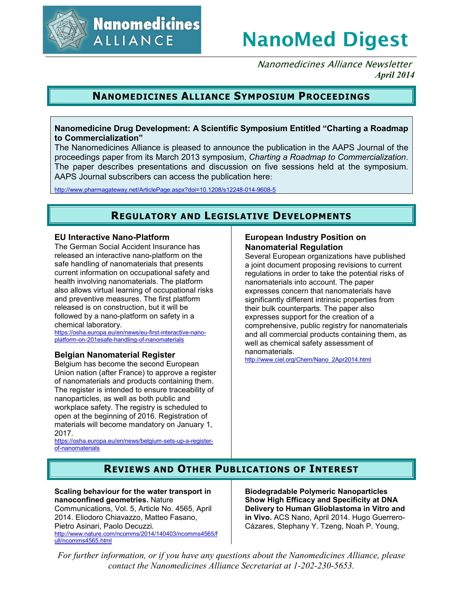

# **NanoMed Digest**

Nanomedicines Alliance Newsletter *April 2014*

# **NANOMEDICINES ALLIANCE SYMPOSIUM PROCEEDINGS**

## **Nanomedicine Drug Development: A Scientific Symposium Entitled "Charting a Roadmap to Commercialization"**

The Nanomedicines Alliance is pleased to announce the publication in the AAPS Journal of the proceedings paper from its March 2013 symposium, *Charting a Roadmap to Commercialization*. The paper describes presentations and discussion on five sessions held at the symposium. AAPS Journal subscribers can access the publication here:

http://www.pharmagateway.net/ArticlePage.aspx?doi=10.1208/s12248-014-9608-5

# **REGULATORY AND LEGISLATIVE DEVELOPMENTS**

#### **EU Interactive Nano-Platform**

The German Social Accident Insurance has released an interactive nano-platform on the safe handling of nanomaterials that presents current information on occupational safety and health involving nanomaterials. The platform also allows virtual learning of occupational risks and preventive measures. The first platform released is on construction, but it will be followed by a nano-platform on safety in a chemical laboratory.

https://osha.europa.eu/en/news/eu-first-interactive-nanoplatform-on-201esafe-handling-of-nanomaterials

## **Belgian Nanomaterial Register**

Belgium has become the second European Union nation (after France) to approve a register of nanomaterials and products containing them. The register is intended to ensure traceability of nanoparticles, as well as both public and workplace safety. The registry is scheduled to open at the beginning of 2016. Registration of materials will become mandatory on January 1, 2017.

https://osha.europa.eu/en/news/belgium-sets-up-a-registerof-nanomaterials

## **European Industry Position on Nanomaterial Regulation**

Several European organizations have published a joint document proposing revisions to current regulations in order to take the potential risks of nanomaterials into account. The paper expresses concern that nanomaterials have significantly different intrinsic properties from their bulk counterparts. The paper also expresses support for the creation of a comprehensive, public registry for nanomaterials and all commercial products containing them, as well as chemical safety assessment of nanomaterials.

http://www.ciel.org/Chem/Nano\_2Apr2014.html

# **REVIEWS AND OTHER PUBLICATIONS OF INTEREST**

#### **Scaling behaviour for the water transport in nanoconfined geometries.** Nature

Communications, Vol. 5, Article No. 4565, April 2014. Eliodoro Chiavazzo, Matteo Fasano, Pietro Asinari, Paolo Decuzzi. http://www.nature.com/ncomms/2014/140403/ncomms4565/f ull/ncomms4565.html

**Biodegradable Polymeric Nanoparticles Show High Efficacy and Specificity at DNA Delivery to Human Glioblastoma in Vitro and in Vivo.** ACS Nano, April 2014. Hugo Guerrero-Cázares, Stephany Y. Tzeng, Noah P. Young,

*For further information, or if you have any questions about the Nanomedicines Alliance, please contact the Nanomedicines Alliance Secretariat at 1-202-230-5653.*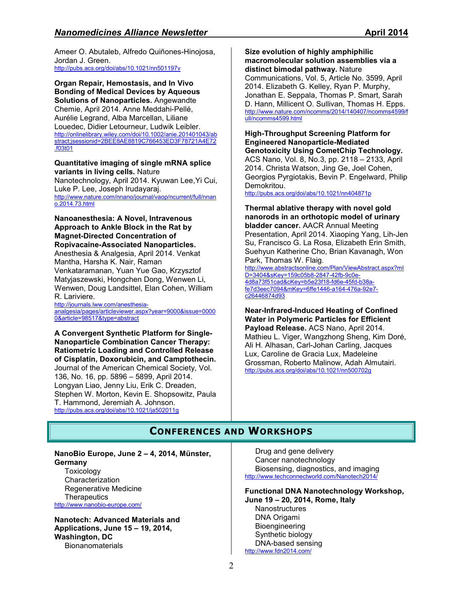Ameer O. Abutaleb, Alfredo Quiñones-Hinojosa, Jordan J. Green. http://pubs.acs.org/doi/abs/10.1021/nn501197v

**Organ Repair, Hemostasis, and In Vivo Bonding of Medical Devices by Aqueous Solutions of Nanoparticles.** Angewandte Chemie, April 2014. Anne Meddahi-Pellé, Aurélie Legrand, Alba Marcellan, Liliane Louedec, Didier Letourneur, Ludwik Leibler. http://onlinelibrary.wiley.com/doi/10.1002/anie.201401043/ab stract;jsessionid=2BEE8AE8819C766453ED3F78721A4E72 .f03t01

#### **Quantitative imaging of single mRNA splice variants in living cells.** Nature

Nanotechnology, April 2014. Kyuwan Lee,Yi Cui, Luke P. Lee, Joseph Irudayaraj. http://www.nature.com/nnano/journal/vaop/ncurrent/full/nnan o.2014.73.html

#### **Nanoanesthesia: A Novel, Intravenous Approach to Ankle Block in the Rat by Magnet-Directed Concentration of Ropivacaine-Associated Nanoparticles.**

Anesthesia & Analgesia, April 2014. Venkat Mantha, Harsha K. Nair, Raman Venkataramanan, Yuan Yue Gao, Krzysztof Matyjaszewski, Hongchen Dong, Wenwen Li, Wenwen, Doug Landsittel, Elan Cohen, William R. Lariviere.

http://journals.lww.com/anesthesiaanalgesia/pages/articleviewer.aspx?year=9000&issue=0000 0&article=98517&type=abstract

**A Convergent Synthetic Platform for Single-Nanoparticle Combination Cancer Therapy: Ratiometric Loading and Controlled Release of Cisplatin, Doxorubicin, and Camptothecin.** Journal of the American Chemical Society, Vol. 136, No. 16, pp. 5896 – 5899, April 2014. Longyan Liao, Jenny Liu, Erik C. Dreaden, Stephen W. Morton, Kevin E. Shopsowitz, Paula T. Hammond, Jeremiah A. Johnson. http://pubs.acs.org/doi/abs/10.1021/ja502011g

**Size evolution of highly amphiphilic macromolecular solution assemblies via a distinct bimodal pathway.** Nature Communications, Vol. 5, Article No. 3599, April 2014. Elizabeth G. Kelley, Ryan P. Murphy, Jonathan E. Seppala, Thomas P. Smart, Sarah

D. Hann, Millicent O. Sullivan, Thomas H. Epps. http://www.nature.com/ncomms/2014/140407/ncomms4599/f ull/ncomms4599.html

#### **High-Throughput Screening Platform for Engineered Nanoparticle-Mediated Genotoxicity Using CometChip Technology.** ACS Nano, Vol. 8, No.3, pp. 2118 – 2133, April

2014. Christa Watson, Jing Ge, Joel Cohen, Georgios Pyrgiotakis, Bevin P. Engelward, Philip Demokritou.

http://pubs.acs.org/doi/abs/10.1021/nn404871p

**Thermal ablative therapy with novel gold nanorods in an orthotopic model of urinary bladder cancer.** AACR Annual Meeting Presentation, April 2014. Xiaoping Yang, Lih-Jen Su, Francisco G. La Rosa, Elizabeth Erin Smith, Suehyun Katherine Cho, Brian Kavanagh, Won Park, Thomas W. Flaig.

http://www.abstractsonline.com/Plan/ViewAbstract.aspx?mI D=3404&sKey=159c05b8-2847-42fb-9c0e-4d8a73f51cad&cKey=b5e23f18-fd6e-45fd-b38afe7d3eec7094&mKey=6ffe1446-a164-476a-92e7 c26446874d93

#### **Near-Infrared-Induced Heating of Confined Water in Polymeric Particles for Efficient Payload Release.** ACS Nano, April 2014. Mathieu L. Viger, Wangzhong Sheng, Kim Doré, Ali H. Alhasan, Carl-Johan Carling, Jacques Lux, Caroline de Gracia Lux, Madeleine Grossman, Roberto Malinow, Adah Almutairi. http://pubs.acs.org/doi/abs/10.1021/nn500702g

# **CONFERENCES AND WORKSHOPS**

**NanoBio Europe, June 2 – 4, 2014, Münster, Germany** 

**Toxicology** Characterization Regenerative Medicine **Therapeutics** http://www.nanobio-europe.com/

**Nanotech: Advanced Materials and Applications, June 15 – 19, 2014, Washington, DC Bionanomaterials** 

Drug and gene delivery Cancer nanotechnology Biosensing, diagnostics, and imaging http://www.techconnectworld.com/Nanotech2014/

**Functional DNA Nanotechnology Workshop, June 19 – 20, 2014, Rome, Italy Nanostructures** 

DNA Origami Bioengineering Synthetic biology DNA-based sensing http://www.fdn2014.com/